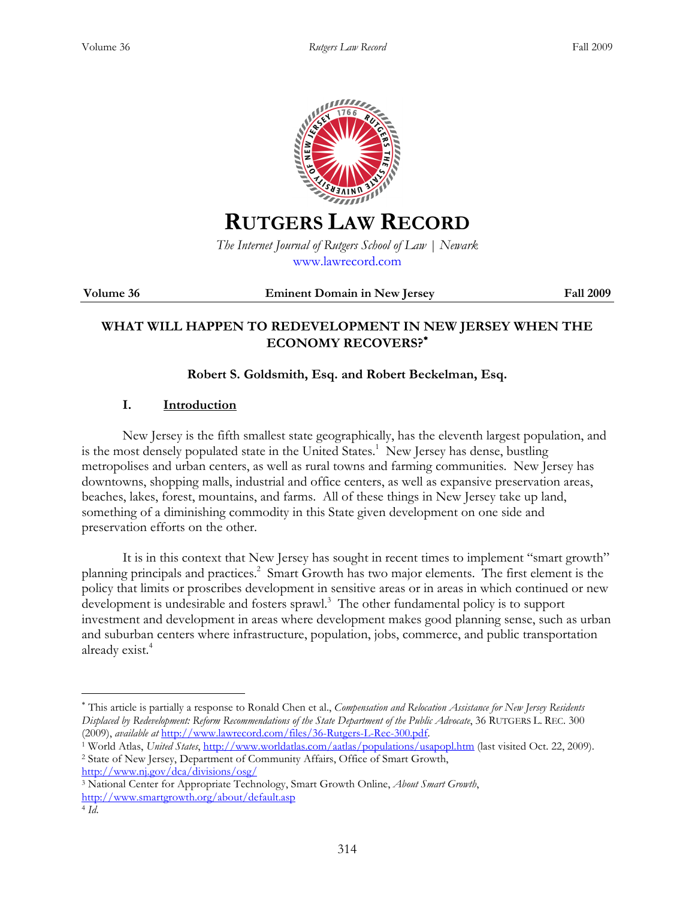

# **RUTGERS LAW RECORD**

*The Internet Journal of Rutgers School of Law | Newark*  www.lawrecord.com

**Volume 36 Eminent Domain in New Jersey Fall 2009**

## **WHAT WILL HAPPEN TO REDEVELOPMENT IN NEW JERSEY WHEN THE ECONOMY RECOVERS?**<sup>∗</sup>

### **Robert S. Goldsmith, Esq. and Robert Beckelman, Esq.**

#### **I. Introduction**

New Jersey is the fifth smallest state geographically, has the eleventh largest population, and is the most densely populated state in the United States.<sup>1</sup> New Jersey has dense, bustling metropolises and urban centers, as well as rural towns and farming communities. New Jersey has downtowns, shopping malls, industrial and office centers, as well as expansive preservation areas, beaches, lakes, forest, mountains, and farms. All of these things in New Jersey take up land, something of a diminishing commodity in this State given development on one side and preservation efforts on the other.

It is in this context that New Jersey has sought in recent times to implement "smart growth" planning principals and practices.<sup>2</sup> Smart Growth has two major elements. The first element is the policy that limits or proscribes development in sensitive areas or in areas in which continued or new development is undesirable and fosters sprawl.<sup>3</sup> The other fundamental policy is to support investment and development in areas where development makes good planning sense, such as urban and suburban centers where infrastructure, population, jobs, commerce, and public transportation already exist.<sup>4</sup>

http://www.nj.gov/dca/divisions/osg/

<sup>∗</sup> This article is partially a response to Ronald Chen et al., *Compensation and Relocation Assistance for New Jersey Residents Displaced by Redevelopment: Reform Recommendations of the State Department of the Public Advocate*, 36 RUTGERS L. REC. 300 (2009), *available at* http://www.lawrecord.com/files/36-Rutgers-L-Rec-300.pdf.

<sup>&</sup>lt;sup>1</sup> World Atlas, United States, http://www.worldatlas.com/aatlas/populations/usapopl.htm (last visited Oct. 22, 2009). 2 State of New Jersey, Department of Community Affairs, Office of Smart Growth,

<sup>3</sup> National Center for Appropriate Technology, Smart Growth Online, *About Smart Growth*, http://www.smartgrowth.org/about/default.asp

<sup>4</sup> *Id*.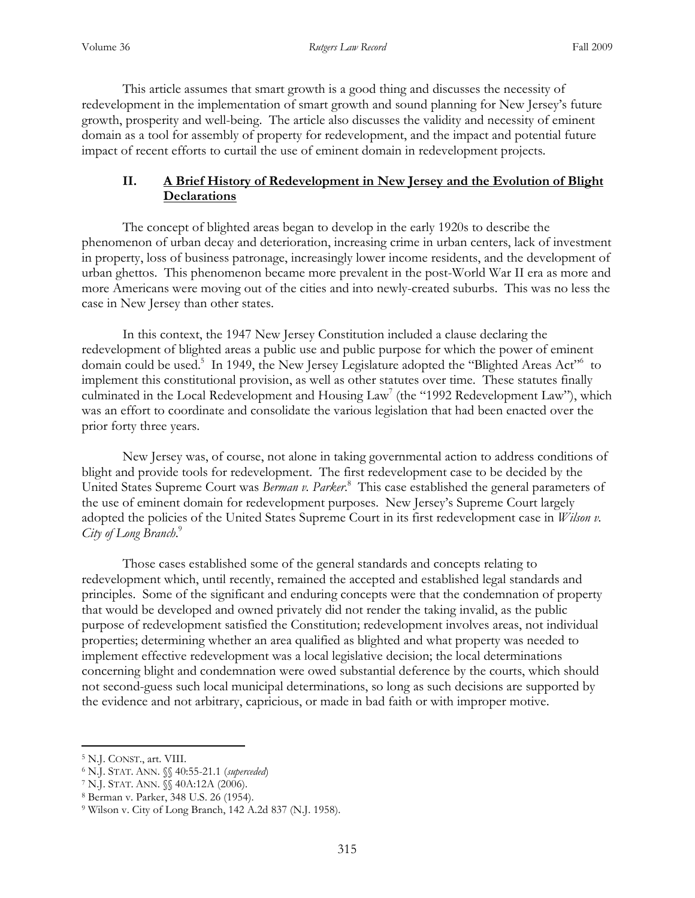This article assumes that smart growth is a good thing and discusses the necessity of redevelopment in the implementation of smart growth and sound planning for New Jersey's future growth, prosperity and well-being. The article also discusses the validity and necessity of eminent domain as a tool for assembly of property for redevelopment, and the impact and potential future impact of recent efforts to curtail the use of eminent domain in redevelopment projects.

#### **II. A Brief History of Redevelopment in New Jersey and the Evolution of Blight Declarations**

 The concept of blighted areas began to develop in the early 1920s to describe the phenomenon of urban decay and deterioration, increasing crime in urban centers, lack of investment in property, loss of business patronage, increasingly lower income residents, and the development of urban ghettos. This phenomenon became more prevalent in the post-World War II era as more and more Americans were moving out of the cities and into newly-created suburbs. This was no less the case in New Jersey than other states.

 In this context, the 1947 New Jersey Constitution included a clause declaring the redevelopment of blighted areas a public use and public purpose for which the power of eminent domain could be used.<sup>5</sup> In 1949, the New Jersey Legislature adopted the "Blighted Areas Act"<sup>6</sup> to implement this constitutional provision, as well as other statutes over time. These statutes finally culminated in the Local Redevelopment and Housing Law<sup>7</sup> (the "1992 Redevelopment Law"), which was an effort to coordinate and consolidate the various legislation that had been enacted over the prior forty three years.

 New Jersey was, of course, not alone in taking governmental action to address conditions of blight and provide tools for redevelopment. The first redevelopment case to be decided by the United States Supreme Court was *Berman v. Parker*. 8 This case established the general parameters of the use of eminent domain for redevelopment purposes. New Jersey's Supreme Court largely adopted the policies of the United States Supreme Court in its first redevelopment case in *Wilson v. City of Long Branch*. 9

 Those cases established some of the general standards and concepts relating to redevelopment which, until recently, remained the accepted and established legal standards and principles. Some of the significant and enduring concepts were that the condemnation of property that would be developed and owned privately did not render the taking invalid, as the public purpose of redevelopment satisfied the Constitution; redevelopment involves areas, not individual properties; determining whether an area qualified as blighted and what property was needed to implement effective redevelopment was a local legislative decision; the local determinations concerning blight and condemnation were owed substantial deference by the courts, which should not second-guess such local municipal determinations, so long as such decisions are supported by the evidence and not arbitrary, capricious, or made in bad faith or with improper motive.

<sup>5</sup> N.J. CONST., art. VIII.

<sup>6</sup> N.J. STAT. ANN. §§ 40:55-21.1 (*superceded*)

<sup>7</sup> N.J. STAT. ANN. §§ 40A:12A (2006).

<sup>8</sup> Berman v. Parker, 348 U.S. 26 (1954).

<sup>9</sup> Wilson v. City of Long Branch, 142 A.2d 837 (N.J. 1958).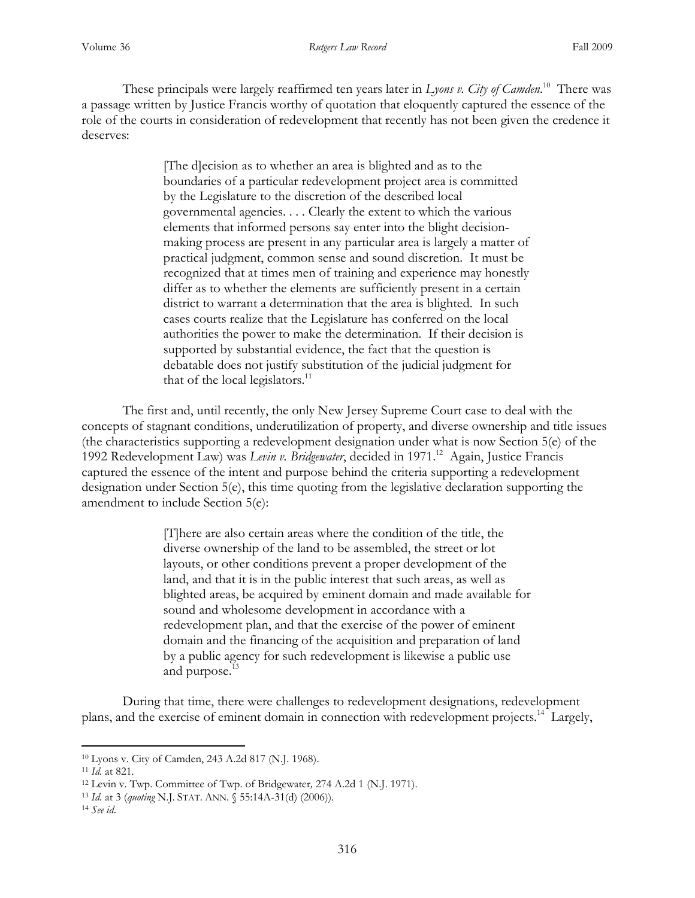These principals were largely reaffirmed ten years later in *Lyons v. City of Camden*. <sup>10</sup> There was a passage written by Justice Francis worthy of quotation that eloquently captured the essence of the role of the courts in consideration of redevelopment that recently has not been given the credence it deserves:

> [The d]ecision as to whether an area is blighted and as to the boundaries of a particular redevelopment project area is committed by the Legislature to the discretion of the described local governmental agencies. . . . Clearly the extent to which the various elements that informed persons say enter into the blight decisionmaking process are present in any particular area is largely a matter of practical judgment, common sense and sound discretion. It must be recognized that at times men of training and experience may honestly differ as to whether the elements are sufficiently present in a certain district to warrant a determination that the area is blighted. In such cases courts realize that the Legislature has conferred on the local authorities the power to make the determination. If their decision is supported by substantial evidence, the fact that the question is debatable does not justify substitution of the judicial judgment for that of the local legislators. $11$

 The first and, until recently, the only New Jersey Supreme Court case to deal with the concepts of stagnant conditions, underutilization of property, and diverse ownership and title issues (the characteristics supporting a redevelopment designation under what is now Section 5(e) of the 1992 Redevelopment Law) was *Levin v. Bridgewater*, decided in 1971.<sup>12</sup> Again, Justice Francis captured the essence of the intent and purpose behind the criteria supporting a redevelopment designation under Section 5(e), this time quoting from the legislative declaration supporting the amendment to include Section 5(e):

> [T]here are also certain areas where the condition of the title, the diverse ownership of the land to be assembled, the street or lot layouts, or other conditions prevent a proper development of the land, and that it is in the public interest that such areas, as well as blighted areas, be acquired by eminent domain and made available for sound and wholesome development in accordance with a redevelopment plan, and that the exercise of the power of eminent domain and the financing of the acquisition and preparation of land by a public agency for such redevelopment is likewise a public use and purpose.<sup>13</sup>

 During that time, there were challenges to redevelopment designations, redevelopment plans, and the exercise of eminent domain in connection with redevelopment projects.<sup>14</sup> Largely,

<sup>10</sup> Lyons v. City of Camden, 243 A.2d 817 (N.J. 1968).

<sup>11</sup> *Id.* at 821*.* 

<sup>12</sup> Levin v. Twp. Committee of Twp. of Bridgewater*,* 274 A.2d 1 (N.J. 1971).

<sup>13</sup> *Id.* at 3 (*quoting* N.J. STAT. ANN. § 55:14A-31(d) (2006))*.* 

<sup>14</sup> *See id*.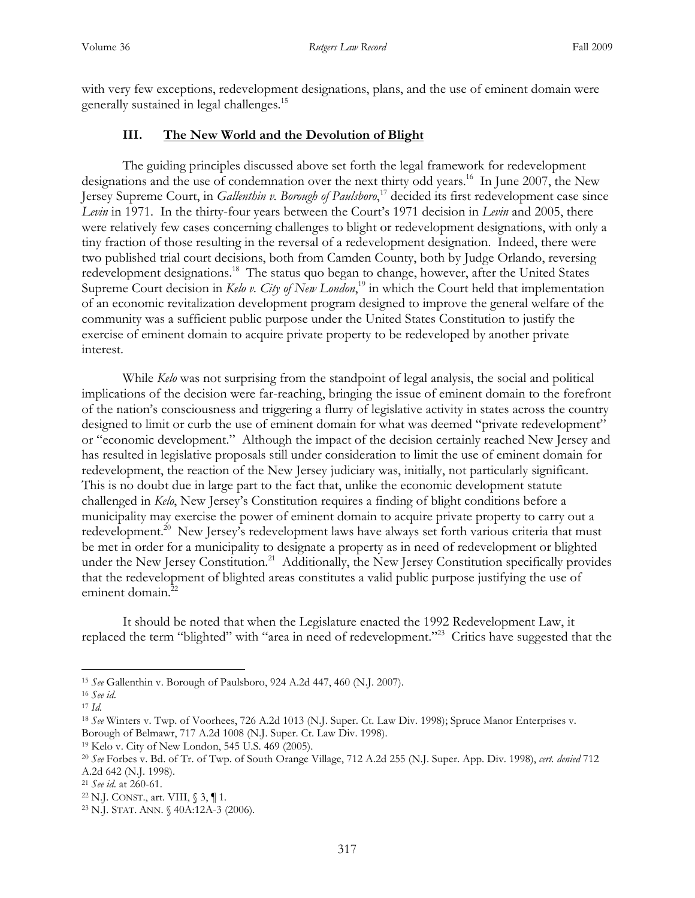with very few exceptions, redevelopment designations, plans, and the use of eminent domain were generally sustained in legal challenges.<sup>15</sup>

#### **III. The New World and the Devolution of Blight**

 The guiding principles discussed above set forth the legal framework for redevelopment designations and the use of condemnation over the next thirty odd years.<sup>16</sup> In June 2007, the New Jersey Supreme Court, in *Gallenthin v. Borough of Paulsboro*, <sup>17</sup> decided its first redevelopment case since *Levin* in 1971. In the thirty-four years between the Court's 1971 decision in *Levin* and 2005, there were relatively few cases concerning challenges to blight or redevelopment designations, with only a tiny fraction of those resulting in the reversal of a redevelopment designation. Indeed, there were two published trial court decisions, both from Camden County, both by Judge Orlando, reversing redevelopment designations.<sup>18</sup> The status quo began to change, however, after the United States Supreme Court decision in *Kelo v. City of New London*, <sup>19</sup> in which the Court held that implementation of an economic revitalization development program designed to improve the general welfare of the community was a sufficient public purpose under the United States Constitution to justify the exercise of eminent domain to acquire private property to be redeveloped by another private interest.

While *Kelo* was not surprising from the standpoint of legal analysis, the social and political implications of the decision were far-reaching, bringing the issue of eminent domain to the forefront of the nation's consciousness and triggering a flurry of legislative activity in states across the country designed to limit or curb the use of eminent domain for what was deemed "private redevelopment" or "economic development." Although the impact of the decision certainly reached New Jersey and has resulted in legislative proposals still under consideration to limit the use of eminent domain for redevelopment, the reaction of the New Jersey judiciary was, initially, not particularly significant. This is no doubt due in large part to the fact that, unlike the economic development statute challenged in *Kelo*, New Jersey's Constitution requires a finding of blight conditions before a municipality may exercise the power of eminent domain to acquire private property to carry out a redevelopment.<sup>20</sup> New Jersey's redevelopment laws have always set forth various criteria that must be met in order for a municipality to designate a property as in need of redevelopment or blighted under the New Jersey Constitution.<sup>21</sup> Additionally, the New Jersey Constitution specifically provides that the redevelopment of blighted areas constitutes a valid public purpose justifying the use of eminent domain.<sup>22</sup>

It should be noted that when the Legislature enacted the 1992 Redevelopment Law, it replaced the term "blighted" with "area in need of redevelopment."<sup>23</sup> Critics have suggested that the

<sup>15</sup> *See* Gallenthin v. Borough of Paulsboro, 924 A.2d 447, 460 (N.J. 2007).

<sup>16</sup> *See id*.

<sup>17</sup> *Id.*

<sup>18</sup> *See* Winters v. Twp. of Voorhees, 726 A.2d 1013 (N.J. Super. Ct. Law Div. 1998); Spruce Manor Enterprises v. Borough of Belmawr, 717 A.2d 1008 (N.J. Super. Ct. Law Div. 1998).

<sup>19</sup> Kelo v. City of New London, 545 U.S. 469 (2005).

<sup>20</sup> *See* Forbes v. Bd. of Tr. of Twp. of South Orange Village, 712 A.2d 255 (N.J. Super. App. Div. 1998), *cert. denied* 712 A.2d 642 (N.J. 1998).

<sup>21</sup> *See id*. at 260-61.

<sup>22</sup> N.J. CONST., art. VIII, § 3, ¶ 1*.* 

<sup>23</sup> N.J. STAT. ANN. § 40A:12A-3 (2006)*.*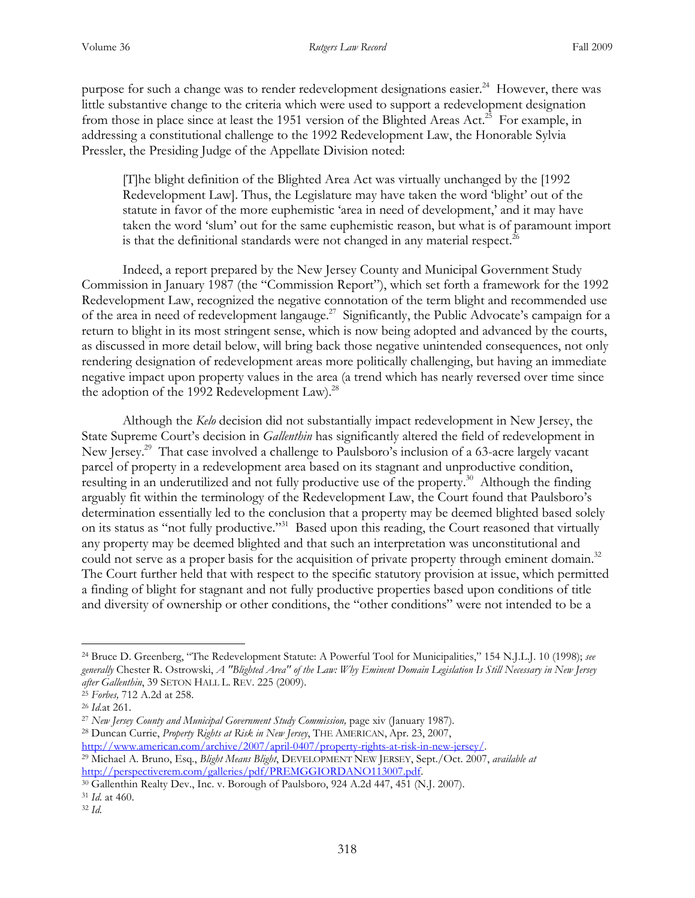purpose for such a change was to render redevelopment designations easier.<sup>24</sup> However, there was little substantive change to the criteria which were used to support a redevelopment designation from those in place since at least the 1951 version of the Blighted Areas Act.<sup>25</sup> For example, in addressing a constitutional challenge to the 1992 Redevelopment Law, the Honorable Sylvia Pressler, the Presiding Judge of the Appellate Division noted:

[T]he blight definition of the Blighted Area Act was virtually unchanged by the [1992 Redevelopment Law]. Thus, the Legislature may have taken the word 'blight' out of the statute in favor of the more euphemistic 'area in need of development,' and it may have taken the word 'slum' out for the same euphemistic reason, but what is of paramount import is that the definitional standards were not changed in any material respect.<sup>26</sup>

Indeed, a report prepared by the New Jersey County and Municipal Government Study Commission in January 1987 (the "Commission Report"), which set forth a framework for the 1992 Redevelopment Law, recognized the negative connotation of the term blight and recommended use of the area in need of redevelopment langauge.<sup>27</sup> Significantly, the Public Advocate's campaign for a return to blight in its most stringent sense, which is now being adopted and advanced by the courts, as discussed in more detail below, will bring back those negative unintended consequences, not only rendering designation of redevelopment areas more politically challenging, but having an immediate negative impact upon property values in the area (a trend which has nearly reversed over time since the adoption of the 1992 Redevelopment Law).<sup>28</sup>

Although the *Kelo* decision did not substantially impact redevelopment in New Jersey, the State Supreme Court's decision in *Gallenthin* has significantly altered the field of redevelopment in New Jersey.<sup>29</sup> That case involved a challenge to Paulsboro's inclusion of a 63-acre largely vacant parcel of property in a redevelopment area based on its stagnant and unproductive condition, resulting in an underutilized and not fully productive use of the property.<sup>30</sup> Although the finding arguably fit within the terminology of the Redevelopment Law, the Court found that Paulsboro's determination essentially led to the conclusion that a property may be deemed blighted based solely on its status as "not fully productive."<sup>31</sup> Based upon this reading, the Court reasoned that virtually any property may be deemed blighted and that such an interpretation was unconstitutional and could not serve as a proper basis for the acquisition of private property through eminent domain.<sup>32</sup> The Court further held that with respect to the specific statutory provision at issue, which permitted a finding of blight for stagnant and not fully productive properties based upon conditions of title and diversity of ownership or other conditions, the "other conditions" were not intended to be a

 $\overline{a}$ 

http://www.american.com/archive/2007/april-0407/property-rights-at-risk-in-new-jersey/.

<sup>24</sup> Bruce D. Greenberg, "The Redevelopment Statute: A Powerful Tool for Municipalities," 154 N.J.L.J. 10 (1998); *see generally* Chester R. Ostrowski, *A "Blighted Area" of the Law: Why Eminent Domain Legislation Is Still Necessary in New Jersey after Gallenthin*, 39 SETON HALL L. REV. 225 (2009).

<sup>25</sup> *Forbes,* 712 A.2d at 258.

<sup>26</sup> *Id.*at 261.

<sup>27</sup> *New Jersey County and Municipal Government Study Commission,* page xiv (January 1987)*.* 

<sup>28</sup> Duncan Currie, *Property Rights at Risk in New Jersey*, THE AMERICAN, Apr. 23, 2007,

<sup>29</sup> Michael A. Bruno, Esq., *Blight Means Blight*, DEVELOPMENT NEW JERSEY, Sept./Oct. 2007, *available at* http://perspectiverem.com/galleries/pdf/PREMGGIORDANO113007.pdf.

<sup>30</sup> Gallenthin Realty Dev., Inc. v. Borough of Paulsboro, 924 A.2d 447, 451 (N.J. 2007).

<sup>31</sup> *Id.* at 460.

<sup>32</sup> *Id.*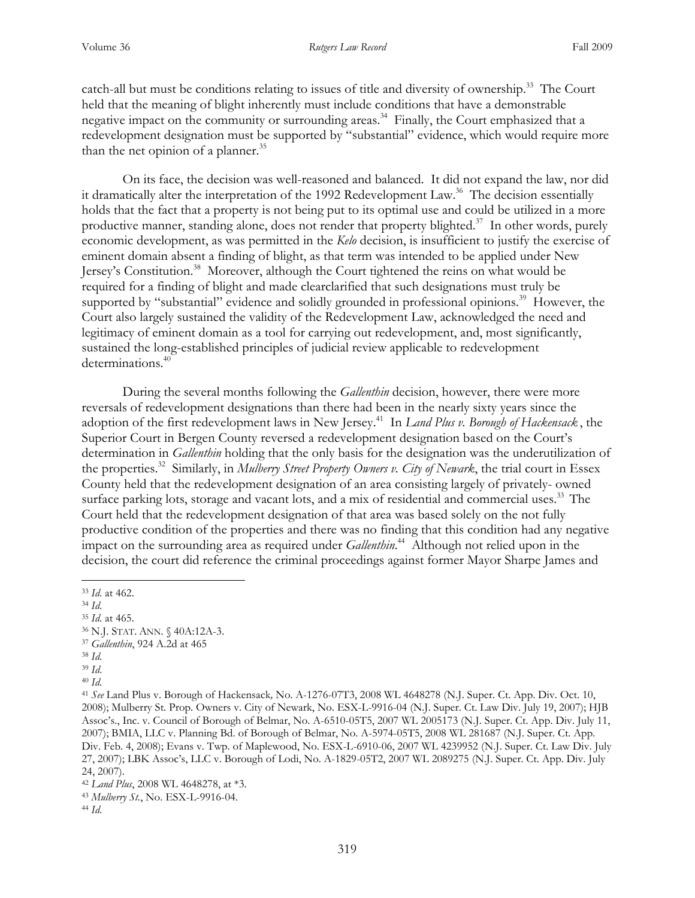catch-all but must be conditions relating to issues of title and diversity of ownership.<sup>33</sup> The Court held that the meaning of blight inherently must include conditions that have a demonstrable negative impact on the community or surrounding areas.<sup>34</sup> Finally, the Court emphasized that a redevelopment designation must be supported by "substantial" evidence, which would require more than the net opinion of a planner. $35$ 

On its face, the decision was well-reasoned and balanced. It did not expand the law, nor did it dramatically alter the interpretation of the 1992 Redevelopment Law.<sup>36</sup> The decision essentially holds that the fact that a property is not being put to its optimal use and could be utilized in a more productive manner, standing alone, does not render that property blighted.<sup>37</sup> In other words, purely economic development, as was permitted in the *Kelo* decision, is insufficient to justify the exercise of eminent domain absent a finding of blight, as that term was intended to be applied under New Jersey's Constitution.<sup>38</sup> Moreover, although the Court tightened the reins on what would be required for a finding of blight and made clearclarified that such designations must truly be supported by "substantial" evidence and solidly grounded in professional opinions.<sup>39</sup> However, the Court also largely sustained the validity of the Redevelopment Law, acknowledged the need and legitimacy of eminent domain as a tool for carrying out redevelopment, and, most significantly, sustained the long-established principles of judicial review applicable to redevelopment determinations.<sup>40</sup>

During the several months following the *Gallenthin* decision, however, there were more reversals of redevelopment designations than there had been in the nearly sixty years since the adoption of the first redevelopment laws in New Jersey. <sup>41</sup> In *Land Plus v. Borough of Hackensack* , the Superior Court in Bergen County reversed a redevelopment designation based on the Court's determination in *Gallenthin* holding that the only basis for the designation was the underutilization of the properties.<sup>32</sup> Similarly, in *Mulberry Street Property Owners v. City of Newark*, the trial court in Essex County held that the redevelopment designation of an area consisting largely of privately- owned surface parking lots, storage and vacant lots, and a mix of residential and commercial uses.<sup>33</sup> The Court held that the redevelopment designation of that area was based solely on the not fully productive condition of the properties and there was no finding that this condition had any negative impact on the surrounding area as required under *Gallenthin*. <sup>44</sup> Although not relied upon in the decision, the court did reference the criminal proceedings against former Mayor Sharpe James and

 $\overline{a}$ 

<sup>37</sup> *Gallenthin*, 924 A.2d at 465

<sup>33</sup> *Id.* at 462.

<sup>34</sup> *Id.* 

<sup>35</sup> *Id.* at 465.

<sup>36</sup> N.J. STAT. ANN. § 40A:12A-3.

<sup>38</sup> *Id.*

<sup>39</sup> *Id*.

<sup>40</sup> *Id.*

<sup>41</sup> *See* Land Plus v. Borough of Hackensack*,* No. A-1276-07T3, 2008 WL 4648278 (N.J. Super. Ct. App. Div. Oct. 10, 2008); Mulberry St. Prop. Owners v. City of Newark, No. ESX-L-9916-04 (N.J. Super. Ct. Law Div. July 19, 2007); HJB Assoc's., Inc. v. Council of Borough of Belmar, No. A-6510-05T5, 2007 WL 2005173 (N.J. Super. Ct. App. Div. July 11, 2007); BMIA, LLC v. Planning Bd. of Borough of Belmar, No. A-5974-05T5, 2008 WL 281687 (N.J. Super. Ct. App. Div. Feb. 4, 2008); Evans v. Twp. of Maplewood, No. ESX-L-6910-06, 2007 WL 4239952 (N.J. Super. Ct. Law Div. July 27, 2007); LBK Assoc's, LLC v. Borough of Lodi, No. A-1829-05T2, 2007 WL 2089275 (N.J. Super. Ct. App. Div. July 24, 2007).

<sup>42</sup> *Land Plus*, 2008 WL 4648278, at \*3.

<sup>43</sup> *Mulberry St.*, No. ESX-L-9916-04.

<sup>44</sup> *Id.*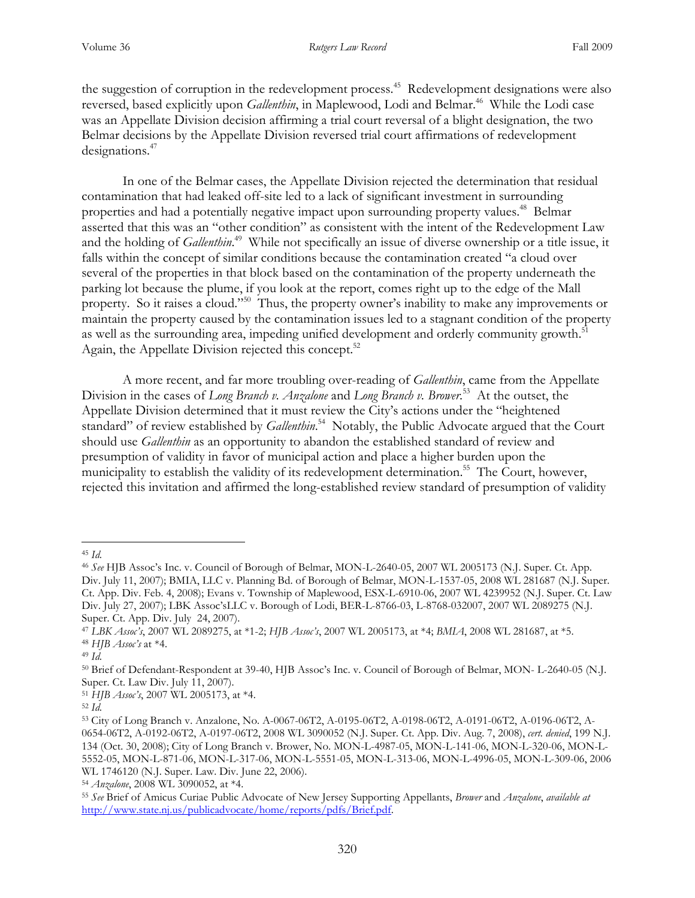the suggestion of corruption in the redevelopment process.<sup>45</sup> Redevelopment designations were also reversed, based explicitly upon *Gallenthin*, in Maplewood, Lodi and Belmar.<sup>46</sup> While the Lodi case was an Appellate Division decision affirming a trial court reversal of a blight designation, the two Belmar decisions by the Appellate Division reversed trial court affirmations of redevelopment designations.<sup>47</sup>

In one of the Belmar cases, the Appellate Division rejected the determination that residual contamination that had leaked off-site led to a lack of significant investment in surrounding properties and had a potentially negative impact upon surrounding property values.<sup>48</sup> Belmar asserted that this was an "other condition" as consistent with the intent of the Redevelopment Law and the holding of *Gallenthin*. <sup>49</sup> While not specifically an issue of diverse ownership or a title issue, it falls within the concept of similar conditions because the contamination created "a cloud over several of the properties in that block based on the contamination of the property underneath the parking lot because the plume, if you look at the report, comes right up to the edge of the Mall property. So it raises a cloud."<sup>50</sup> Thus, the property owner's inability to make any improvements or maintain the property caused by the contamination issues led to a stagnant condition of the property as well as the surrounding area, impeding unified development and orderly community growth.<sup>51</sup> Again, the Appellate Division rejected this concept.<sup>52</sup>

A more recent, and far more troubling over-reading of *Gallenthin*, came from the Appellate Division in the cases of *Long Branch v. Anzalone* and *Long Branch v. Brower*. <sup>53</sup> At the outset, the Appellate Division determined that it must review the City's actions under the "heightened standard" of review established by *Gallenthin*. <sup>54</sup> Notably, the Public Advocate argued that the Court should use *Gallenthin* as an opportunity to abandon the established standard of review and presumption of validity in favor of municipal action and place a higher burden upon the municipality to establish the validity of its redevelopment determination.<sup>55</sup> The Court, however, rejected this invitation and affirmed the long-established review standard of presumption of validity

<sup>45</sup> *Id.*

<sup>46</sup> *See* HJB Assoc's Inc. v. Council of Borough of Belmar, MON-L-2640-05, 2007 WL 2005173 (N.J. Super. Ct. App. Div. July 11, 2007); BMIA, LLC v. Planning Bd. of Borough of Belmar, MON-L-1537-05, 2008 WL 281687 (N.J. Super. Ct. App. Div. Feb. 4, 2008); Evans v. Township of Maplewood, ESX-L-6910-06, 2007 WL 4239952 (N.J. Super. Ct. Law Div. July 27, 2007); LBK Assoc'sLLC v. Borough of Lodi, BER-L-8766-03, L-8768-032007, 2007 WL 2089275 (N.J. Super. Ct. App. Div. July 24, 2007).

<sup>47</sup> *LBK Assoc's*, 2007 WL 2089275, at \*1-2; *HJB Assoc's*, 2007 WL 2005173, at \*4; *BMIA*, 2008 WL 281687, at \*5. <sup>48</sup> *HJB Assoc's* at \*4.

<sup>49</sup> *Id.* 

<sup>50</sup> Brief of Defendant-Respondent at 39-40, HJB Assoc's Inc. v. Council of Borough of Belmar, MON- L-2640-05 (N.J. Super. Ct. Law Div. July 11, 2007).

<sup>51</sup> *HJB Assoc's*, 2007 WL 2005173, at \*4.

<sup>52</sup> *Id.*

<sup>53</sup> City of Long Branch v. Anzalone, No. A-0067-06T2, A-0195-06T2, A-0198-06T2, A-0191-06T2, A-0196-06T2, A-0654-06T2, A-0192-06T2, A-0197-06T2, 2008 WL 3090052 (N.J. Super. Ct. App. Div. Aug. 7, 2008), *cert. denied*, 199 N.J. 134 (Oct. 30, 2008); City of Long Branch v. Brower, No. MON-L-4987-05, MON-L-141-06, MON-L-320-06, MON-L-5552-05, MON-L-871-06, MON-L-317-06, MON-L-5551-05, MON-L-313-06, MON-L-4996-05, MON-L-309-06, 2006 WL 1746120 (N.J. Super. Law. Div. June 22, 2006).

<sup>54</sup> *Anzalone*, 2008 WL 3090052, at \*4.

<sup>55</sup> *See* Brief of Amicus Curiae Public Advocate of New Jersey Supporting Appellants, *Brower* and *Anzalone*, *available at* http://www.state.nj.us/publicadvocate/home/reports/pdfs/Brief.pdf.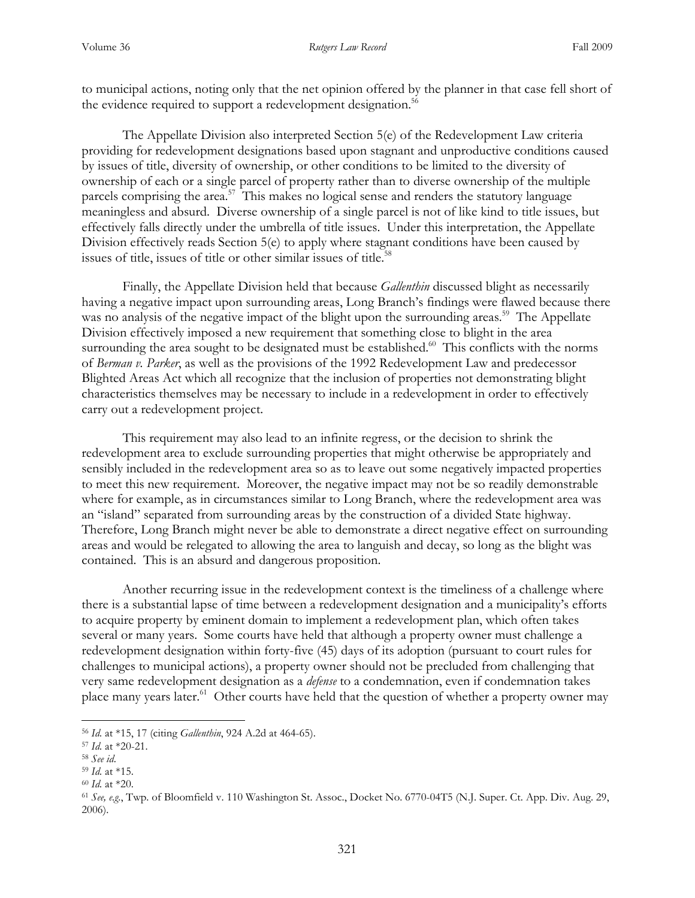to municipal actions, noting only that the net opinion offered by the planner in that case fell short of the evidence required to support a redevelopment designation.<sup>56</sup>

The Appellate Division also interpreted Section 5(e) of the Redevelopment Law criteria providing for redevelopment designations based upon stagnant and unproductive conditions caused by issues of title, diversity of ownership, or other conditions to be limited to the diversity of ownership of each or a single parcel of property rather than to diverse ownership of the multiple parcels comprising the area.<sup>57</sup> This makes no logical sense and renders the statutory language meaningless and absurd. Diverse ownership of a single parcel is not of like kind to title issues, but effectively falls directly under the umbrella of title issues. Under this interpretation, the Appellate Division effectively reads Section 5(e) to apply where stagnant conditions have been caused by issues of title, issues of title or other similar issues of title.<sup>58</sup>

Finally, the Appellate Division held that because *Gallenthin* discussed blight as necessarily having a negative impact upon surrounding areas, Long Branch's findings were flawed because there was no analysis of the negative impact of the blight upon the surrounding areas.<sup>59</sup> The Appellate Division effectively imposed a new requirement that something close to blight in the area surrounding the area sought to be designated must be established.<sup>60</sup> This conflicts with the norms of *Berman v. Parker*, as well as the provisions of the 1992 Redevelopment Law and predecessor Blighted Areas Act which all recognize that the inclusion of properties not demonstrating blight characteristics themselves may be necessary to include in a redevelopment in order to effectively carry out a redevelopment project.

This requirement may also lead to an infinite regress, or the decision to shrink the redevelopment area to exclude surrounding properties that might otherwise be appropriately and sensibly included in the redevelopment area so as to leave out some negatively impacted properties to meet this new requirement. Moreover, the negative impact may not be so readily demonstrable where for example, as in circumstances similar to Long Branch, where the redevelopment area was an "island" separated from surrounding areas by the construction of a divided State highway. Therefore, Long Branch might never be able to demonstrate a direct negative effect on surrounding areas and would be relegated to allowing the area to languish and decay, so long as the blight was contained. This is an absurd and dangerous proposition.

Another recurring issue in the redevelopment context is the timeliness of a challenge where there is a substantial lapse of time between a redevelopment designation and a municipality's efforts to acquire property by eminent domain to implement a redevelopment plan, which often takes several or many years. Some courts have held that although a property owner must challenge a redevelopment designation within forty-five (45) days of its adoption (pursuant to court rules for challenges to municipal actions), a property owner should not be precluded from challenging that very same redevelopment designation as a *defense* to a condemnation, even if condemnation takes place many years later.<sup>61</sup> Other courts have held that the question of whether a property owner may

<sup>56</sup> *Id.* at \*15, 17 (citing *Gallenthin*, 924 A.2d at 464-65).

<sup>57</sup> *Id.* at \*20-21.

<sup>58</sup> *See id*.

<sup>59</sup> *Id.* at \*15.

<sup>60</sup> *Id.* at \*20.

<sup>61</sup> *See, e.g.*, Twp. of Bloomfield v. 110 Washington St. Assoc., Docket No. 6770-04T5 (N.J. Super. Ct. App. Div. Aug. 29, 2006).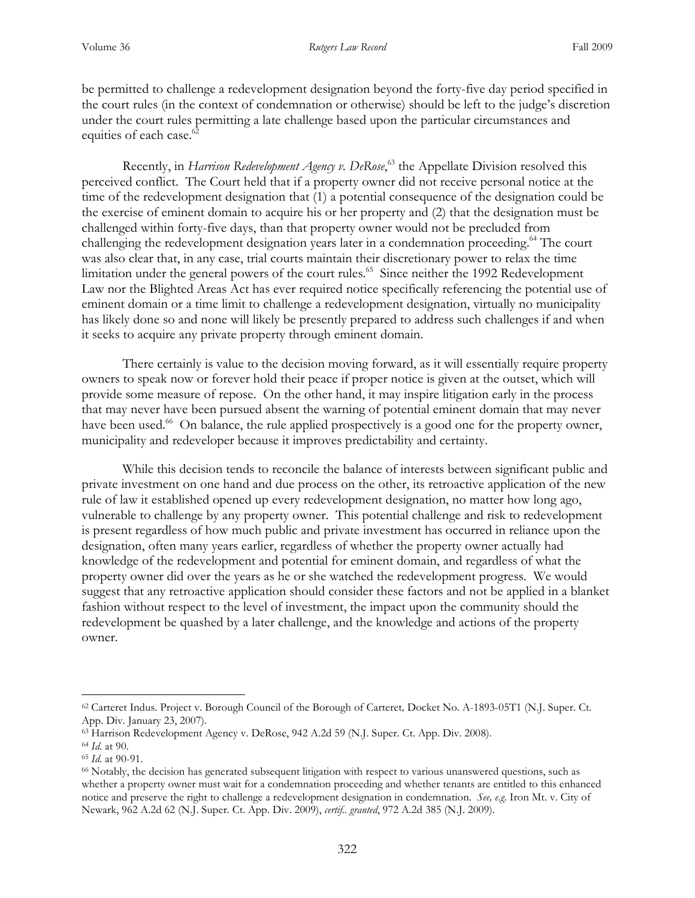be permitted to challenge a redevelopment designation beyond the forty-five day period specified in the court rules (in the context of condemnation or otherwise) should be left to the judge's discretion under the court rules permitting a late challenge based upon the particular circumstances and equities of each case.<sup>62</sup>

Recently, in *Harrison Redevelopment Agency v. DeRose*, <sup>63</sup> the Appellate Division resolved this perceived conflict. The Court held that if a property owner did not receive personal notice at the time of the redevelopment designation that (1) a potential consequence of the designation could be the exercise of eminent domain to acquire his or her property and (2) that the designation must be challenged within forty-five days, than that property owner would not be precluded from challenging the redevelopment designation years later in a condemnation proceeding.<sup>64</sup> The court was also clear that, in any case, trial courts maintain their discretionary power to relax the time limitation under the general powers of the court rules.<sup>65</sup> Since neither the 1992 Redevelopment Law nor the Blighted Areas Act has ever required notice specifically referencing the potential use of eminent domain or a time limit to challenge a redevelopment designation, virtually no municipality has likely done so and none will likely be presently prepared to address such challenges if and when it seeks to acquire any private property through eminent domain.

There certainly is value to the decision moving forward, as it will essentially require property owners to speak now or forever hold their peace if proper notice is given at the outset, which will provide some measure of repose. On the other hand, it may inspire litigation early in the process that may never have been pursued absent the warning of potential eminent domain that may never have been used.<sup>66</sup> On balance, the rule applied prospectively is a good one for the property owner, municipality and redeveloper because it improves predictability and certainty.

While this decision tends to reconcile the balance of interests between significant public and private investment on one hand and due process on the other, its retroactive application of the new rule of law it established opened up every redevelopment designation, no matter how long ago, vulnerable to challenge by any property owner. This potential challenge and risk to redevelopment is present regardless of how much public and private investment has occurred in reliance upon the designation, often many years earlier, regardless of whether the property owner actually had knowledge of the redevelopment and potential for eminent domain, and regardless of what the property owner did over the years as he or she watched the redevelopment progress. We would suggest that any retroactive application should consider these factors and not be applied in a blanket fashion without respect to the level of investment, the impact upon the community should the redevelopment be quashed by a later challenge, and the knowledge and actions of the property owner.

<sup>62</sup> Carteret Indus. Project v. Borough Council of the Borough of Carteret*,* Docket No. A-1893-05T1 (N.J. Super. Ct. App. Div. January 23, 2007).

<sup>63</sup> Harrison Redevelopment Agency v. DeRose, 942 A.2d 59 (N.J. Super. Ct. App. Div. 2008).

<sup>64</sup> *Id.* at 90.

<sup>65</sup> *Id.* at 90-91.

<sup>66</sup> Notably, the decision has generated subsequent litigation with respect to various unanswered questions, such as whether a property owner must wait for a condemnation proceeding and whether tenants are entitled to this enhanced notice and preserve the right to challenge a redevelopment designation in condemnation. *See, e.g.* Iron Mt. v. City of Newark, 962 A.2d 62 (N.J. Super. Ct. App. Div. 2009), *certif.. granted*, 972 A.2d 385 (N.J. 2009).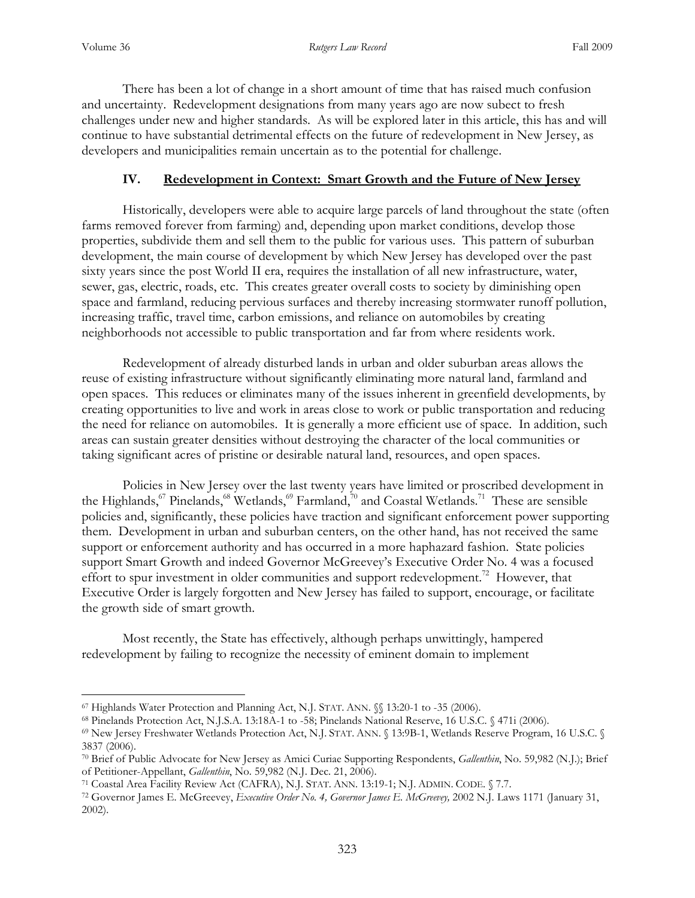$\overline{a}$ 

 There has been a lot of change in a short amount of time that has raised much confusion and uncertainty. Redevelopment designations from many years ago are now subect to fresh challenges under new and higher standards. As will be explored later in this article, this has and will continue to have substantial detrimental effects on the future of redevelopment in New Jersey, as developers and municipalities remain uncertain as to the potential for challenge.

#### **IV. Redevelopment in Context: Smart Growth and the Future of New Jersey**

Historically, developers were able to acquire large parcels of land throughout the state (often farms removed forever from farming) and, depending upon market conditions, develop those properties, subdivide them and sell them to the public for various uses. This pattern of suburban development, the main course of development by which New Jersey has developed over the past sixty years since the post World II era, requires the installation of all new infrastructure, water, sewer, gas, electric, roads, etc. This creates greater overall costs to society by diminishing open space and farmland, reducing pervious surfaces and thereby increasing stormwater runoff pollution, increasing traffic, travel time, carbon emissions, and reliance on automobiles by creating neighborhoods not accessible to public transportation and far from where residents work.

Redevelopment of already disturbed lands in urban and older suburban areas allows the reuse of existing infrastructure without significantly eliminating more natural land, farmland and open spaces. This reduces or eliminates many of the issues inherent in greenfield developments, by creating opportunities to live and work in areas close to work or public transportation and reducing the need for reliance on automobiles. It is generally a more efficient use of space. In addition, such areas can sustain greater densities without destroying the character of the local communities or taking significant acres of pristine or desirable natural land, resources, and open spaces.

 Policies in New Jersey over the last twenty years have limited or proscribed development in the Highlands,<sup>67</sup> Pinelands,<sup>68</sup> Wetlands,<sup>69</sup> Farmland,<sup>70</sup> and Coastal Wetlands.<sup>71</sup> These are sensible policies and, significantly, these policies have traction and significant enforcement power supporting them. Development in urban and suburban centers, on the other hand, has not received the same support or enforcement authority and has occurred in a more haphazard fashion. State policies support Smart Growth and indeed Governor McGreevey's Executive Order No. 4 was a focused effort to spur investment in older communities and support redevelopment.<sup>72</sup> However, that Executive Order is largely forgotten and New Jersey has failed to support, encourage, or facilitate the growth side of smart growth.

Most recently, the State has effectively, although perhaps unwittingly, hampered redevelopment by failing to recognize the necessity of eminent domain to implement

<sup>67</sup> Highlands Water Protection and Planning Act, N.J. STAT. ANN. §§ 13:20-1 to -35 (2006).

<sup>68</sup> Pinelands Protection Act, N.J.S.A. 13:18A-1 to -58; Pinelands National Reserve, 16 U.S.C. § 471i (2006).

<sup>69</sup> New Jersey Freshwater Wetlands Protection Act, N.J. STAT. ANN. § 13:9B-1, Wetlands Reserve Program, 16 U.S.C. § 3837 (2006).

<sup>70</sup> Brief of Public Advocate for New Jersey as Amici Curiae Supporting Respondents, *Gallenthin*, No. 59,982 (N.J.); Brief of Petitioner-Appellant, *Gallenthin*, No. 59,982 (N.J. Dec. 21, 2006).

<sup>71</sup> Coastal Area Facility Review Act (CAFRA), N.J. STAT. ANN. 13:19-1; N.J. ADMIN. CODE. § 7.7.

<sup>72</sup> Governor James E. McGreevey, *Executive Order No. 4, Governor James E. McGreevey,* 2002 N.J. Laws 1171 (January 31, 2002).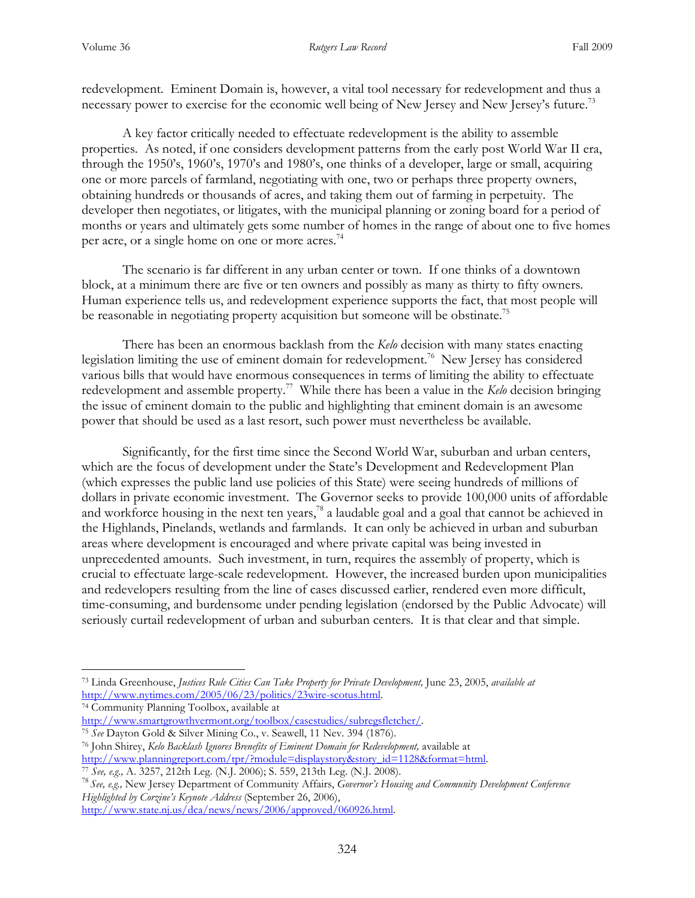redevelopment. Eminent Domain is, however, a vital tool necessary for redevelopment and thus a necessary power to exercise for the economic well being of New Jersey and New Jersey's future.<sup>73</sup>

A key factor critically needed to effectuate redevelopment is the ability to assemble properties. As noted, if one considers development patterns from the early post World War II era, through the 1950's, 1960's, 1970's and 1980's, one thinks of a developer, large or small, acquiring one or more parcels of farmland, negotiating with one, two or perhaps three property owners, obtaining hundreds or thousands of acres, and taking them out of farming in perpetuity. The developer then negotiates, or litigates, with the municipal planning or zoning board for a period of months or years and ultimately gets some number of homes in the range of about one to five homes per acre, or a single home on one or more acres.<sup>74</sup>

The scenario is far different in any urban center or town. If one thinks of a downtown block, at a minimum there are five or ten owners and possibly as many as thirty to fifty owners. Human experience tells us, and redevelopment experience supports the fact, that most people will be reasonable in negotiating property acquisition but someone will be obstinate.<sup>75</sup>

There has been an enormous backlash from the *Kelo* decision with many states enacting legislation limiting the use of eminent domain for redevelopment.<sup>76</sup> New Jersey has considered various bills that would have enormous consequences in terms of limiting the ability to effectuate redevelopment and assemble property.<sup>77</sup> While there has been a value in the *Kelo* decision bringing the issue of eminent domain to the public and highlighting that eminent domain is an awesome power that should be used as a last resort, such power must nevertheless be available.

 Significantly, for the first time since the Second World War, suburban and urban centers, which are the focus of development under the State's Development and Redevelopment Plan (which expresses the public land use policies of this State) were seeing hundreds of millions of dollars in private economic investment. The Governor seeks to provide 100,000 units of affordable and workforce housing in the next ten years,<sup>78</sup> a laudable goal and a goal that cannot be achieved in the Highlands, Pinelands, wetlands and farmlands. It can only be achieved in urban and suburban areas where development is encouraged and where private capital was being invested in unprecedented amounts. Such investment, in turn, requires the assembly of property, which is crucial to effectuate large-scale redevelopment. However, the increased burden upon municipalities and redevelopers resulting from the line of cases discussed earlier, rendered even more difficult, time-consuming, and burdensome under pending legislation (endorsed by the Public Advocate) will seriously curtail redevelopment of urban and suburban centers. It is that clear and that simple.

<sup>74</sup> Community Planning Toolbox, available at

 $\overline{a}$ 

http://www.state.nj.us/dca/news/news/2006/approved/060926.html.

<sup>73</sup> Linda Greenhouse, *Justices Rule Cities Can Take Property for Private Development,* June 23, 2005, *available at*  http://www.nytimes.com/2005/06/23/politics/23wire-scotus.html.

http://www.smartgrowthvermont.org/toolbox/casestudies/subregsfletcher/.

<sup>75</sup> *See* Dayton Gold & Silver Mining Co., v. Seawell, 11 Nev. 394 (1876). <sup>76</sup> John Shirey, *Kelo Backlash Ignores Brenefits of Eminent Domain for Redevelopment,* available at

http://www.planningreport.com/tpr/?module=displaystory&story\_id=1128&format=html. <sup>77</sup> *See, e.g.,* A. 3257, 212th Leg. (N.J. 2006); S. 559, 213th Leg. (N.J. 2008).

<sup>78</sup> *See, e.g.,* New Jersey Department of Community Affairs, *Governor's Housing and Community Development Conference Highlighted by Corzine's Keynote Address* (September 26, 2006),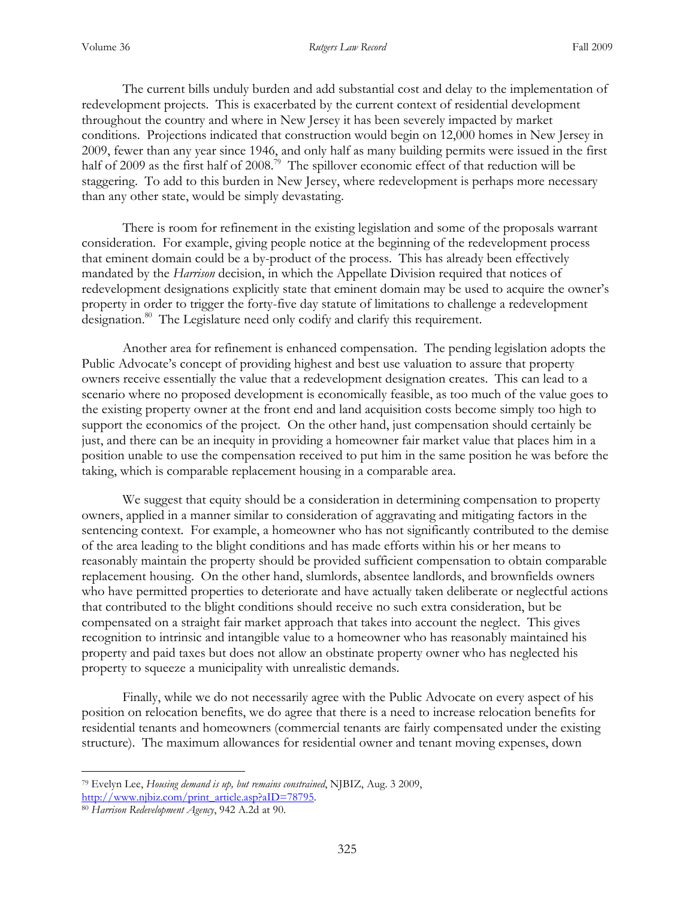The current bills unduly burden and add substantial cost and delay to the implementation of redevelopment projects. This is exacerbated by the current context of residential development throughout the country and where in New Jersey it has been severely impacted by market conditions. Projections indicated that construction would begin on 12,000 homes in New Jersey in 2009, fewer than any year since 1946, and only half as many building permits were issued in the first half of 2009 as the first half of 2008.<sup>79</sup> The spillover economic effect of that reduction will be staggering. To add to this burden in New Jersey, where redevelopment is perhaps more necessary than any other state, would be simply devastating.

There is room for refinement in the existing legislation and some of the proposals warrant consideration. For example, giving people notice at the beginning of the redevelopment process that eminent domain could be a by-product of the process. This has already been effectively mandated by the *Harrison* decision, in which the Appellate Division required that notices of redevelopment designations explicitly state that eminent domain may be used to acquire the owner's property in order to trigger the forty-five day statute of limitations to challenge a redevelopment designation.<sup>80</sup> The Legislature need only codify and clarify this requirement.

Another area for refinement is enhanced compensation. The pending legislation adopts the Public Advocate's concept of providing highest and best use valuation to assure that property owners receive essentially the value that a redevelopment designation creates. This can lead to a scenario where no proposed development is economically feasible, as too much of the value goes to the existing property owner at the front end and land acquisition costs become simply too high to support the economics of the project. On the other hand, just compensation should certainly be just, and there can be an inequity in providing a homeowner fair market value that places him in a position unable to use the compensation received to put him in the same position he was before the taking, which is comparable replacement housing in a comparable area.

We suggest that equity should be a consideration in determining compensation to property owners, applied in a manner similar to consideration of aggravating and mitigating factors in the sentencing context. For example, a homeowner who has not significantly contributed to the demise of the area leading to the blight conditions and has made efforts within his or her means to reasonably maintain the property should be provided sufficient compensation to obtain comparable replacement housing. On the other hand, slumlords, absentee landlords, and brownfields owners who have permitted properties to deteriorate and have actually taken deliberate or neglectful actions that contributed to the blight conditions should receive no such extra consideration, but be compensated on a straight fair market approach that takes into account the neglect. This gives recognition to intrinsic and intangible value to a homeowner who has reasonably maintained his property and paid taxes but does not allow an obstinate property owner who has neglected his property to squeeze a municipality with unrealistic demands.

Finally, while we do not necessarily agree with the Public Advocate on every aspect of his position on relocation benefits, we do agree that there is a need to increase relocation benefits for residential tenants and homeowners (commercial tenants are fairly compensated under the existing structure). The maximum allowances for residential owner and tenant moving expenses, down

<sup>79</sup> Evelyn Lee, *Housing demand is up, but remains constrained*, NJBIZ, Aug. 3 2009, http://www.njbiz.com/print\_article.asp?aID=78795.

<sup>80</sup> *Harrison Redevelopment Agency*, 942 A.2d at 90.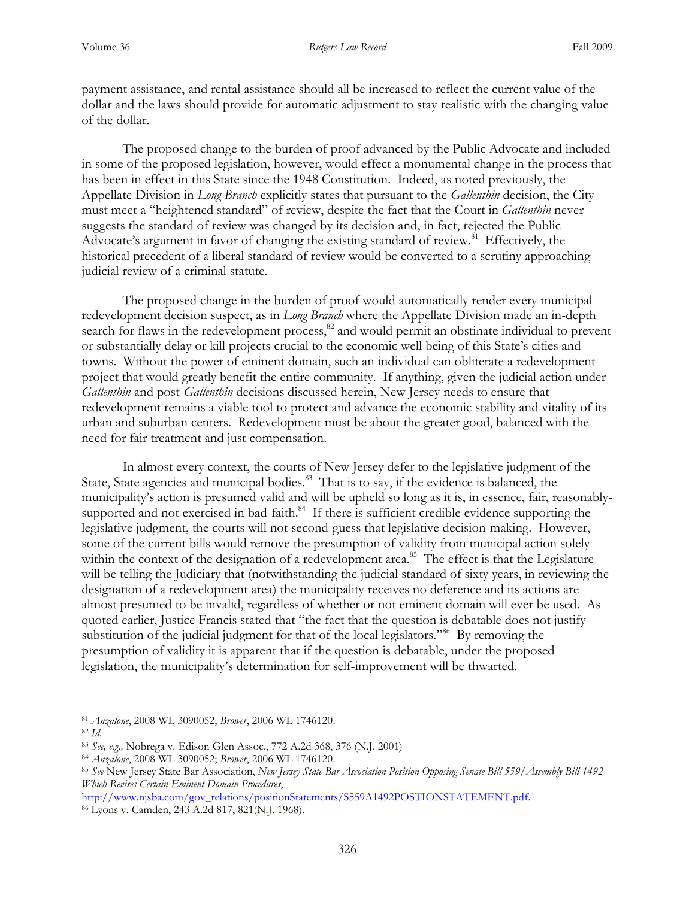payment assistance, and rental assistance should all be increased to reflect the current value of the dollar and the laws should provide for automatic adjustment to stay realistic with the changing value of the dollar.

The proposed change to the burden of proof advanced by the Public Advocate and included in some of the proposed legislation, however, would effect a monumental change in the process that has been in effect in this State since the 1948 Constitution. Indeed, as noted previously, the Appellate Division in *Long Branch* explicitly states that pursuant to the *Gallenthin* decision, the City must meet a "heightened standard" of review, despite the fact that the Court in *Gallenthin* never suggests the standard of review was changed by its decision and, in fact, rejected the Public Advocate's argument in favor of changing the existing standard of review.<sup>81</sup> Effectively, the historical precedent of a liberal standard of review would be converted to a scrutiny approaching judicial review of a criminal statute.

The proposed change in the burden of proof would automatically render every municipal redevelopment decision suspect, as in *Long Branch* where the Appellate Division made an in-depth search for flaws in the redevelopment process,<sup>82</sup> and would permit an obstinate individual to prevent or substantially delay or kill projects crucial to the economic well being of this State's cities and towns. Without the power of eminent domain, such an individual can obliterate a redevelopment project that would greatly benefit the entire community. If anything, given the judicial action under *Gallenthin* and post-*Gallenthin* decisions discussed herein, New Jersey needs to ensure that redevelopment remains a viable tool to protect and advance the economic stability and vitality of its urban and suburban centers. Redevelopment must be about the greater good, balanced with the need for fair treatment and just compensation.

In almost every context, the courts of New Jersey defer to the legislative judgment of the State, State agencies and municipal bodies.<sup>83</sup> That is to say, if the evidence is balanced, the municipality's action is presumed valid and will be upheld so long as it is, in essence, fair, reasonablysupported and not exercised in bad-faith.<sup>84</sup> If there is sufficient credible evidence supporting the legislative judgment, the courts will not second-guess that legislative decision-making. However, some of the current bills would remove the presumption of validity from municipal action solely within the context of the designation of a redevelopment area.<sup>85</sup> The effect is that the Legislature will be telling the Judiciary that (notwithstanding the judicial standard of sixty years, in reviewing the designation of a redevelopment area) the municipality receives no deference and its actions are almost presumed to be invalid, regardless of whether or not eminent domain will ever be used. As quoted earlier, Justice Francis stated that "the fact that the question is debatable does not justify substitution of the judicial judgment for that of the local legislators."<sup>86</sup> By removing the presumption of validity it is apparent that if the question is debatable, under the proposed legislation, the municipality's determination for self-improvement will be thwarted.

 $\overline{a}$ 

http://www.njsba.com/gov\_relations/positionStatements/S559A1492POSTIONSTATEMENT.pdf. 86 Lyons v. Camden, 243 A.2d 817, 821(N.J. 1968).

<sup>81</sup> *Anzalone*, 2008 WL 3090052; *Brower*, 2006 WL 1746120.

<sup>82</sup> *Id.* 

<sup>83</sup> *See, e.g.,* Nobrega v. Edison Glen Assoc., 772 A.2d 368, 376 (N.J. 2001)

<sup>84</sup> *Anzalone*, 2008 WL 3090052; *Brower*, 2006 WL 1746120.

<sup>85</sup> *See* New Jersey State Bar Association, *New Jersey State Bar Association Position Opposing Senate Bill 559/Assembly Bill 1492 Which Revises Certain Eminent Domain Procedures*,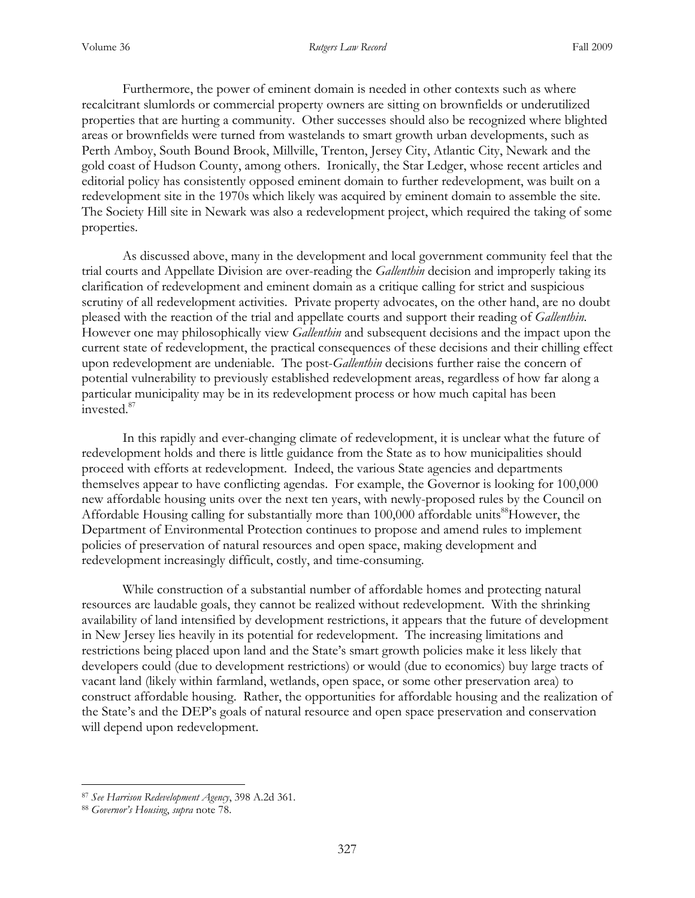Furthermore, the power of eminent domain is needed in other contexts such as where recalcitrant slumlords or commercial property owners are sitting on brownfields or underutilized properties that are hurting a community. Other successes should also be recognized where blighted areas or brownfields were turned from wastelands to smart growth urban developments, such as Perth Amboy, South Bound Brook, Millville, Trenton, Jersey City, Atlantic City, Newark and the gold coast of Hudson County, among others. Ironically, the Star Ledger, whose recent articles and editorial policy has consistently opposed eminent domain to further redevelopment, was built on a redevelopment site in the 1970s which likely was acquired by eminent domain to assemble the site. The Society Hill site in Newark was also a redevelopment project, which required the taking of some properties.

As discussed above, many in the development and local government community feel that the trial courts and Appellate Division are over-reading the *Gallenthin* decision and improperly taking its clarification of redevelopment and eminent domain as a critique calling for strict and suspicious scrutiny of all redevelopment activities. Private property advocates, on the other hand, are no doubt pleased with the reaction of the trial and appellate courts and support their reading of *Gallenthin.* However one may philosophically view *Gallenthin* and subsequent decisions and the impact upon the current state of redevelopment, the practical consequences of these decisions and their chilling effect upon redevelopment are undeniable. The post-*Gallenthin* decisions further raise the concern of potential vulnerability to previously established redevelopment areas, regardless of how far along a particular municipality may be in its redevelopment process or how much capital has been invested.<sup>87</sup>

In this rapidly and ever-changing climate of redevelopment, it is unclear what the future of redevelopment holds and there is little guidance from the State as to how municipalities should proceed with efforts at redevelopment. Indeed, the various State agencies and departments themselves appear to have conflicting agendas. For example, the Governor is looking for 100,000 new affordable housing units over the next ten years, with newly-proposed rules by the Council on Affordable Housing calling for substantially more than  $100,000$  affordable units<sup>88</sup>However, the Department of Environmental Protection continues to propose and amend rules to implement policies of preservation of natural resources and open space, making development and redevelopment increasingly difficult, costly, and time-consuming.

While construction of a substantial number of affordable homes and protecting natural resources are laudable goals, they cannot be realized without redevelopment. With the shrinking availability of land intensified by development restrictions, it appears that the future of development in New Jersey lies heavily in its potential for redevelopment. The increasing limitations and restrictions being placed upon land and the State's smart growth policies make it less likely that developers could (due to development restrictions) or would (due to economics) buy large tracts of vacant land (likely within farmland, wetlands, open space, or some other preservation area) to construct affordable housing. Rather, the opportunities for affordable housing and the realization of the State's and the DEP's goals of natural resource and open space preservation and conservation will depend upon redevelopment.

<sup>87</sup> *See Harrison Redevelopment Agency*, 398 A.2d 361.

<sup>88</sup> *Governor's Housing*, *supra* note 78.